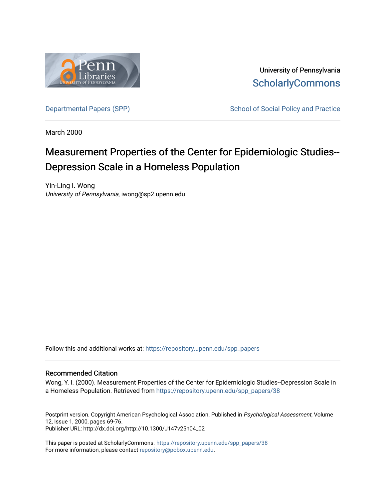

University of Pennsylvania **ScholarlyCommons** 

[Departmental Papers \(SPP\)](https://repository.upenn.edu/spp_papers) School of Social Policy and Practice

March 2000

# Measurement Properties of the Center for Epidemiologic Studies-- Depression Scale in a Homeless Population

Yin-Ling I. Wong University of Pennsylvania, iwong@sp2.upenn.edu

Follow this and additional works at: [https://repository.upenn.edu/spp\\_papers](https://repository.upenn.edu/spp_papers?utm_source=repository.upenn.edu%2Fspp_papers%2F38&utm_medium=PDF&utm_campaign=PDFCoverPages) 

### Recommended Citation

Wong, Y. I. (2000). Measurement Properties of the Center for Epidemiologic Studies--Depression Scale in a Homeless Population. Retrieved from [https://repository.upenn.edu/spp\\_papers/38](https://repository.upenn.edu/spp_papers/38?utm_source=repository.upenn.edu%2Fspp_papers%2F38&utm_medium=PDF&utm_campaign=PDFCoverPages)

Postprint version. Copyright American Psychological Association. Published in Psychological Assessment, Volume 12, Issue 1, 2000, pages 69-76. Publisher URL: http://dx.doi.org/http://10.1300/J147v25n04\_02

This paper is posted at ScholarlyCommons. [https://repository.upenn.edu/spp\\_papers/38](https://repository.upenn.edu/spp_papers/38)  For more information, please contact [repository@pobox.upenn.edu.](mailto:repository@pobox.upenn.edu)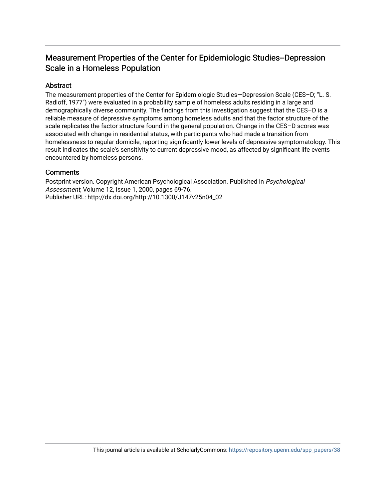# Measurement Properties of the Center for Epidemiologic Studies--Depression Scale in a Homeless Population

# Abstract

The measurement properties of the Center for Epidemiologic Studies—Depression Scale (CES–D; "L. S. Radloff, 1977") were evaluated in a probability sample of homeless adults residing in a large and demographically diverse community. The findings from this investigation suggest that the CES–D is a reliable measure of depressive symptoms among homeless adults and that the factor structure of the scale replicates the factor structure found in the general population. Change in the CES–D scores was associated with change in residential status, with participants who had made a transition from homelessness to regular domicile, reporting significantly lower levels of depressive symptomatology. This result indicates the scale's sensitivity to current depressive mood, as affected by significant life events encountered by homeless persons.

## **Comments**

Postprint version. Copyright American Psychological Association. Published in Psychological Assessment, Volume 12, Issue 1, 2000, pages 69-76. Publisher URL: http://dx.doi.org/http://10.1300/J147v25n04\_02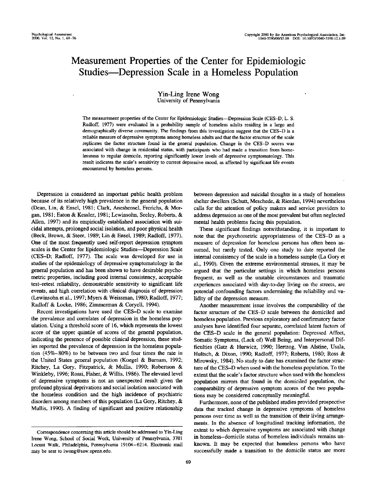# Measurement Properties of the Center for Epidemiologic Studies—Depression Scale in a Homeless Population

#### Yin-Ling Irene Wong University of Pennsylvania

The measurement properties of the Center for Epidemiologic Studies—Depression Scale (CES-D; L. S. Radloff, 1977) were evaluated in a probability sample of homeless adults residing in a large and demographically diverse community. The findings from this investigation suggest that the CES-D is a reliable measure of depressive symptoms among homeless adults and that the factor structure of the scale replicates the factor structure found in the general population. Change in the CES-D scores was associated with change in residential status, with participants who had made a transition from homelessness to regular domicile, reporting significantly lower levels of depressive symptomatology. This result indicates the scale's sensitivity to current depressive mood, as affected by significant life events encountered by homeless persons.

Depression is considered an important public health problem because of its relatively high prevalence in the general population (Dean, Lin, & Ensel, 1981; Clark, Aneshensel, Frerichs, & Morgan, 1981; Eaton & Kessler, 1981; Lewinsohn, Seeley, Roberts, & Allen, 1997) and its empirically established association with suicidal attempts, prolonged social isolation, and poor physical health (Beck, Brown, & Steer, 1989; Lin & Ensel, 1989; Radloff, 1977). One of the most frequently used self-report depression symptom scales is the Center for Epidemiologic Studies—Depression Scale (CES-D; Radloff, 1977). The scale was developed for use in studies of the epidemiology of depressive symptomatology in the general population and has been shown to have desirable psychometric properties, including good internal consistency, acceptable test-retest reliability, demonstrable sensitivity to significant life events, and high correlation with clinical diagnosis of depression (Lewinsohn et al., 1997; Myers & Weissman, 1980; Radloff, 1977; Radloff & Locke, 1986; Zimmerman & Coryell, 1994).

Recent investigations have used the CES—D scale to examine the prevalence and correlates of depression in the homeless population. Using a threshold score of 16, which represents the lowest score of the upper quintile of scores of the general population, indicating the presence of possible clinical depression, these studies reported the prevalence of depression in the homeless population (45%-80%) to be between two and four times the rate in the United States general population (Koegel & Burnam, 1992; Ritchey, La Gory, Fitzpatrick, & Mullis, 1990; Robertson & Winkleby, 1996; Rossi, Fisher, & Willis, 1986). The elevated level of depressive symptoms is not an unexpected result given the profound physical deprivations and social isolation associated with the homeless condition and the high incidence of psychiatric disorders among members of this population (La Gory, Ritchey, & Mullis, 1990). A finding of significant and positive relationship between depression and suicidal thoughts in a study of homeless shelter dwellers (Schutt, Meschede, & Rierdan, 1994) nevertheless calls for the attention of policy makers and service providers to address depression as one of the most prevalent but often neglected mental health problems facing this population.

These significant findings notwithstanding, it is important to note that the psychometric appropriateness of the CES-D as a measure of depression for homeless persons has often been assumed, but rarely tested. Only one study to date reported the internal consistency of the scale in a homeless sample (La Gory et al., 1990). Given the extreme environmental stresses, it may be argued that the particular settings in which homeless persons frequent, as well as the unstable circumstances and traumatic experiences associated with day-to-day living on the streets, are potential confounding factors undermining the reliability and validity of the depression measure.

Another measurement issue involves the comparability of the factor structure of the CES-D scale between the domiciled and homeless population. Previous exploratory and confirmatory factor analyses have identified four separate, correlated latent factors of the CES-D scale in the general population: Depressed Affect, Somatic Symptoms, (Lack of) Well Being, and Interpersonal Difficulties (Gatz & Hurwicz, 1990; Hertzog, Van Alstine, Usala, Hultsch, & Dixon, 1990; Radloff, 1977; Roberts, 1980; Ross & Mirowsky, 1984). No study to date has examined the factor structure of the CES-D when used with the homeless population. To the extent that the scale's factor structure when used with the homeless population mirrors that found in the domiciled population, the comparability of depressive symptom scores of the two populations may be considered conceptually meaningful.

Furthermore, none of the published studies provided prospective data that tracked change in depressive symptoms of homeless persons over time as well as the transition of their living arrangements. In the absence of longitudinal tracking information, the extent to which depressive symptoms are associated with change in homeless-domicile status of homeless individuals remains unknown. It may be expected that homeless persons who have successfully made a transition to the domicile status are more

Correspondence concerning this article should be addressed to Yin-Ling Irene Wong, School of Social Work, University of Pennsylvania, 3701 Locust Walk, Philadelphia, Pennsylvania 19104-6214. Electronic mail may be sent to iwong@ssw.upenn.edu.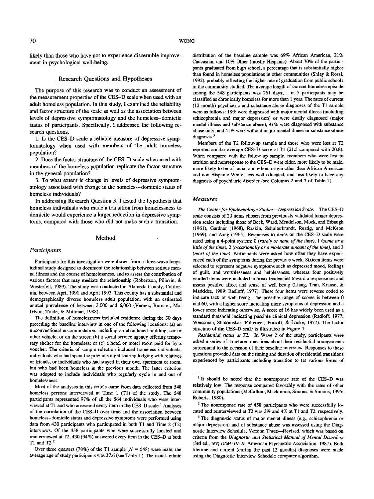likely than those who have not to experience discernible improvement in psychological well-being.

#### Research Questions and Hypotheses

The purpose of this research was to conduct an assessment of the measurement properties of the CES—D scale when used with an adult homeless population. In this study, I examined the reliability and factor structure of the scale as well as the association between levels of depressive symptomatology and the homeless-domicile status of participants. Specifically, I addressed the following research questions.

1. Is the CES-D scale a reliable measure of depressive symptomatology when used with members of the adult homeless population?

2. Does the factor structure of the CES—D scale when used with members of the homeless population replicate the factor structure in the general population?

3. To what extent is change in levels of depressive symptomatology associated with change in the homeless-domicile status of homeless individuals?

In addressing Research Question 3, I tested the hypothesis that homeless individuals who made a transition from homelessness to domicile would experience a larger reduction in depressive symptoms, compared with those who did not make such a transition.

#### Method

#### *Participants*

Participants for this investigation were drawn from a three-wave longitudinal study designed to document the relationship between serious mental illness and the course of homelessness, and to assess the contribution of various factors that may mediate the relationship (Robertson, Piliavin, & Westerfelt, 1989). The study was conducted in Alameda County, California, between April 1991 and April 1993. This county has a substantial and demographically diverse homeless adult population, with an estimated annual prevalence of between 3,000 and 6,000 (Vernez, Burnam, Mc-Glynn, Trude, & Mittman, 1988).

The definition of homelessness included residence during the 30 days preceding the baseline interview in one of the following locations: (a) an unconventional accommodation, including an abandoned building, car or other vehicle, or on the street; (b) a social service agency offering temporary shelter for the homeless; or (c) a hotel or motel room paid for by a voucher. The criteria of sample selection included homeless individuals, individuals who had spent the previous night sharing lodging with relatives or friends, or individuals who had stayed in their own apartment or room, but who had been homeless in the previous month. The latter criterion was adopted to include individuals who regularly cycle in and out of homelessness.

Most of the analyses in this article came from data collected from 548 homeless persons interviewed at Time 1 (Tl) of the study. The 548 participants represented 97% of all the 564 individuals who were interviewed at T1 and who answered every item in the CES-D scale.<sup>1</sup> Analyses of the correlation of the CES-D over time and the association between homeless-domicile status and depressive symptoms were performed using data from 430 participants who participated in both T1 and Time 2 (T2) interviews. Of the 458 participants who were successfully located and reinterviewed at T2, 430 (94%) answered every item in the CES-D at both T1 and  $T2<sup>2</sup>$ 

Over three quarters (78%) of the Tl sample *(N =* 548) were male; the average age of study participants was 37.6 (see Table 1). The racial-ethnic distribution of the baseline sample was 69% African American, 21% Caucasian, and 10% Other (mostly Hispanic). About 70% of the participants graduated from high school, a percentage that is substantially higher than found in homeless populations in other communities (Shlay & Rossi, 1992), probably reflecting the higher rate of graduation from public schools in the community studied. The average length of current homeless episode among the 548 participants was 261 days; 1 in 5 participants may be classified as chronically homeless for more than 1 year. The rates of current (12 month) psychiatric and substance-abuse diagnoses of the Tl sample were as follows: 18% were diagnosed with major mental illness (including schizophrenia and major depression) or were dually diagnosed (major mental illness and substance abuse), 41% were diagnosed with substance abuse only, and 41% were widiout major mental illness or substance-abuse diagnosis. $3$ 

Members of the T2 follow-up sample and those who were lost at T2 reported similar average CES-D score at Tl (21.5 compared with 20.8). When compared with the follow-up sample, members who were lost to attrition and nonresponse to the CES-D were older, more likely to be male, more likely to be of racial and ethnic origin other than African American and non-Hispanic White, less well educated, and less likely to have any diagnosis of psychiatric disorder (see Columns 2 and 3 of Table 1).

#### *Measures*

*The Center for Epidemiologic Studies—Depression Scale.* The CES-D scale consists of 20 items chosen from previously validated longer depression scales including those of Beck, Ward, Mendelson, Mock, and Erbaugh (1961), Gardner (1968), Raskin, Schulterbrandt, Reatig, and McKeon (1969), and Zung (1965). Responses to items on the CES-D scale were rated using a 4-point system: 0 *(rarely or none of the time),* 1 *(some or a little of the time), 1 (occasionally or a moderate amount of the time),* and 3 *(most of the time).* Participants were asked how often they have experienced each of the symptoms during the previous week. Sixteen items were selected to represent negative symptoms such as depressed mood, feelings of guilt, and worthlessness and helplessness, whereas four positively worded items were included to break tendencies toward a response set and assess positive affect and sense of well being (Liang, Tran, Krause, & Markides, 1989; Radloff, 1977). These four items were reverse coded to indicate lack of well being. The possible range of scores is between 0 and 60, with a higher score indicating more symptoms of depression and a lower score indicating otherwise. A score of 16 has widely been used as a standard threshold indicating possible clinical depression (Radloff, 1977; Weissman, Sholomskas, Pottenger, Prusoff, & Locke, 1977). The factor structure of the CES-D scale is illustrated in Figure 1.

*Residential status at T2.* In Wave 2 of the study, participants were asked a series of structured questions about their residential arrangements subsequent to the occasion of their baseline interview. Responses to these questions provided data on the timing and duration of residential transitions experienced by participants including transition to (a) various forms of

<sup>2</sup> The nonresponse rate of 458 participants who were successfully located and reinterviewed at T2 was 3% and 4% at Tl and T2, respectively.

<sup>&</sup>lt;sup>1</sup> It should be noted that the nonresponse rate of the CES-D was relatively low: The response compared favorably with the rates of other community populations (McCallum, Mackinnon, Simons, & Simons, 1995; Roberts, 1980).

<sup>&</sup>lt;sup>3</sup> The diagnostic status of major mental illness (e.g., schizophrenia or major depression) and of substance abuse was assessed using the Diagnostic Interview Schedule, Version Three—Revised, which was based on criteria from the *Diagnostic and Statistical Manual of Mental Disorders* (3rd ed., rev; *DSM-HI-R;* American Psychiatric Association, 1987). Both lifetime and current (during the past 12 months) diagnoses were made using the Diagnostic Interview Schedule computer algorithm.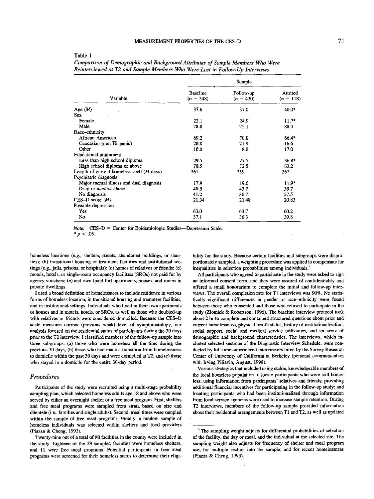|                                                     | Sample                         |                          |                         |
|-----------------------------------------------------|--------------------------------|--------------------------|-------------------------|
| Variable                                            | <b>Baseline</b><br>$(n = 548)$ | Follow-up<br>$(n = 430)$ | Attrited<br>$(n = 118)$ |
| Age $(M)$                                           | 37.6                           | 37.0                     | 40.0*                   |
| Sex                                                 |                                |                          |                         |
| Female                                              | 22.1                           | 24.9                     | $11.7*$                 |
| Male                                                | 78.0                           | 75.1                     | 88.4                    |
| Race-ethnicity                                      |                                |                          |                         |
| African American                                    | 69.2                           | 70.0                     | $66.4*$                 |
| Caucasian (non-Hispanic)                            | 20.8                           | 21.9                     | 16.6                    |
| Other                                               | 10.0                           | 8.0                      | 17.0                    |
| Educational attainment                              |                                |                          |                         |
| Less than high school diploma                       | 29.5                           | 27.5                     | $36.8*$                 |
| High school diploma or above                        | 70.5                           | 72.5                     | 63.2                    |
| Length of current homeless spell $(M \text{ days})$ | 261                            | 259                      | 267                     |
| Psychiatric diagnosis                               |                                |                          |                         |
| Major mental illness and dual diagnosis             | 17.9                           | 19.6                     | $11.9*$                 |
| Drug or alcohol abuse                               | 40.9                           | 43.7                     | 30.7                    |
| No diagnosis                                        | 41.2                           | 36.7                     | 57.5                    |
| $CES-D score(M)$                                    | 21.34                          | 21.48                    | 20.83                   |
| Possible depression                                 |                                |                          |                         |
| Yes                                                 | 63.0                           | 63.7                     | 60.2                    |
| No                                                  | 37.1                           | 36.3                     | 39.8                    |

Table 1

*Comparison of Demographic and Background Attributes of Sample Members Who Were Reinterviewed at T2 and Sample Members Who Were Lost in Follow-Up Interviews*

Note. CES-D = Center for Epidemiologic Studies-Depression Scale.

 $*_{p}$  < .05.

homeless locations (e.g., shelters, streets, abandoned buildings, or shanties); (b) transitional housing or treatment facilities and institutional settings (e.g., jails, prisons, or hospitals); (c) homes of relatives or friends; (d) motels, hotels, or single-room occupancy facilities (SROs) not paid for by agency vouchers; (e) and own (paid for) apartments, houses, and rooms in private dwellings.

I used a broad definition of homelessness to include residence in various forms of homeless location, in transitional housing and treatment facilities, and in institutional-settings. Individuals who lived in their own apartments or houses and in motels, hotels, or SROs, as well as those who doubled-up with relatives or friends were considered domiciled. Because the CES-D scale measures current (previous week) level of symptomatology, our analysis focused on the residential status of participants during the 30 days prior to die T2 interview. I classified members of the follow-up sample into three subgroups: (a) those who were homeless all the time during the previous 30 days, (b) those who had made a transition from homelessness to domicile within the past 30 days and were domiciled at T2, and (c) those who stayed in a domicile for the entire 30-day period.

#### *Procedures*

Participants of the study were recruited using a multi-stage probability sampling plan, which selected homeless adults age 18 and above who were served by either an overnight shelter or a free meal program. First, shelters and free meal programs were sampled from strata based on size and clientele (i.e., families and single adults). Second, meal times were sampled within the sample of free meal programs. Finally, a random sample of homeless individuals was selected within shelters and food providers (Piazza & Cheng, 1993).

Twenty-nine out of a total of 80 facilities in the county were included in the study. Eighteen of the 29 sampled facilities were homeless shelters, and 11 were free meal programs. Potential participants in free meal programs were screened for their homeless status to determine their eligibility for the study. Because certain facilities and subgroups were disproportionately sampled, a weighting procedure was applied to compensate for inequalities in selection probabilities among individuals.<sup>4</sup>

All participants who agreed to participate in the study were asked to sign an informed consent form, and they were assured of confidentiality and offered a small honorarium to complete the initial and follow-up interviews. The overall completion rate for Tl interviews was 90%. No statistically significant differences in gender or race-ethnicity were found between those who consented and those who refused to participate in the study (Zlotnick & Robertson, 1996). The baseline interview protocol took about 2 hr to complete and contained structured questions about prior and current homelessness, physical health status, history of institutionalization, social support, social and medical service utilization, and an array of demographic and background characteristics. The interviews, which included selected sections of the Diagnostic Interview Schedule, were conducted by full-time experienced interviewers hired by the Survey Research Center of University of California at Berkeley.(personal communication with Irving Piliavin, August, 1998).

Various strategies that included using stable, knowledgeable members of the local homeless population to locate participants who were still homeless; using information from participants' relatives and friends; providing additional financial incentives for participating in the follow-up study; and locating participants who had been institutionalized through information from local service agencies were used to increase sample retention. During T2 interviews, members of the follow-up sample provided information about their residential arrangements between Tl and T2, as well as updated

<sup>&</sup>lt;sup>4</sup> The sampling weight adjusts for differential probabilities of selection of the facility, the day or meal, and the individual at the selected site. The sampling weight also adjusts for frequency of shelter and meal program use, for multiple section into the sample, and for recent homelessness (Piazza & Cheng, 1993).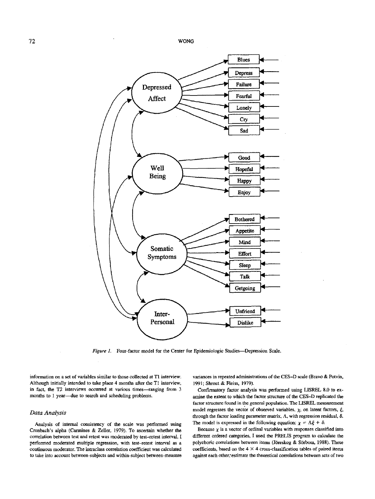

*Figure 1.* Four-factor model for the Center for Epidemiologic Studies-Depression Scale.

information on a set of variables similar to those collected at Tl interview. Although initially intended to take place 4 months after the Tl interview, in fact, the T2 interviews occurred at various times—ranging from 3 months to 1 year—due to search and scheduling problems.

#### *Data Analysis*

Analysis of internal consistency of the scale was performed using Cronbach's alpha (Carmines & Zeller, 1979). To ascertain whether the correlation between test and retest was moderated by test-retest interval, I performed moderated multiple regression, with test-retest interval as a continuous moderator. The intraclass correlation coefficient was calculated to take into account between-subjects and within-subject between-measure variances in repeated administrations of die CES-D scale (Bravo & Potvin, 1991; Shrout & Reiss, 1979).

Confirmatory factor analysis was performed using LISREL 8.0 to examine the extent to which the factor structure of the CES-D replicated the factor structure found in the general population. The LISREL measurement model regresses the vector of observed variables,  $\chi$ , on latent factors,  $\xi$ , through the factor loading parameter matrix,  $\Lambda$ , with regression residual,  $\delta$ . The model is expressed in the following equation:  $\chi = \Lambda \xi + \delta$ .

Because  $\chi$  is a vector of ordinal variables with responses classified into different ordered categories, I used the PRELIS program to calculate the polychoric correlations between items (Jöreskog & Sörbom, 1988). These coefficients, based on the  $4 \times 4$  cross-classification tables of paired items against each other, estimate the theoretical correlations between sets of two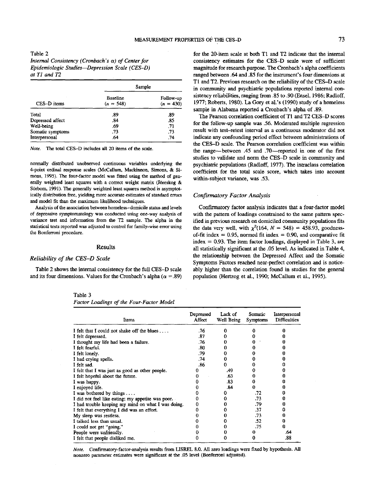| CES-D items      |                                | Sample                   |
|------------------|--------------------------------|--------------------------|
|                  | <b>Baseline</b><br>$(n = 548)$ | Follow-up<br>$(n = 430)$ |
| Total            | .89                            | .89                      |
| Depressed affect | .84                            | .85                      |
| Well-being       | .69                            | .71                      |
| Somatic symptoms | .73                            | .73                      |
| Interpersonal    | .64                            | .74                      |

*Note.* The total CES-D includes all 20 items of the scale.

normally distributed unobserved continuous variables underlying the 4-point ordinal response scales (McCallum, Mackinnon, Simons, & Simons, 1995). The four-factor model was fitted using the method of generally weighted least squares with a correct weight matrix (Jöreskog & Sörbom, 1991). The generally weighted least squares method is asymptotically distribution free, yielding more accurate estimates of standard errors and model fit than the maximum likelihood techniques.

Analysis of the association between homeless- domicile status and levels of depressive symptomatology was conducted using one-way analysis of variance test and information from the T2 sample. The alpha in the statistical tests reported was adjusted to control for family-wise error using the Bonferroni procedure.

#### Results

#### *Reliability of the CES-D Scale*

Table 2 shows the internal consistency for the full CES-D scale and its four dimensions. Values for the Cronbach's alpha ( $\alpha = .89$ )

Table 3 *Factor Loadings of the Four-Factor Model*

for the 20-item scale at both Tl and T2 indicate that the internal consistency estimates for the CES-D scale were of sufficient magnitude for research purpose. The Cronbach's alpha coefficients ranged between .64 and .85 for the instrument's four dimensions at Tl and T2. Previous research on the reliability of the CES-D scale in community and psychiatric populations reported internal consistency reliabilities, ranging from .85 to .90 (Ensel, 1986; Radloff, 1977; Roberts, 1980). La Gory et al.'s (1990) study of a homeless sample in Alabama reported a Cronbach's alpha of .89.

The Pearson correlation coefficient of Tl and T2 CES-D scores for the follow-up sample was .56. Moderated multiple regression result with test-retest interval as a continuous moderator did not indicate any confounding period effect between administrations of the CES—D scale. The Pearson correlation coefficient was within the range—between .45 and .70—reported in one of the first studies to validate and norm the CES-D scale in community and psychiatric populations (Radloff, 1977). The intraclass correlation coefficient for the total scale score, which takes into account within-subject variance, was .53.

### *Confirmatory Factor Analysis*

Confirmatory factor analysis indicates that a four-factor model with the pattern of loadings constrained to the same pattern specified in previous research on domiciled community populations fits the data very well, with  $\chi^2(164, N = 548) = 458.93$ , goodnessof-fit index =  $0.95$ , normed fit index =  $0.90$ , and comparative fit  $index = 0.93$ . The item factor loadings, displayed in Table 3, are all statistically significant at the .05 level. As indicated in Table 4, the relationship between the Depressed Affect and the Somatic Symptoms Factors reached near-perfect correlation and is noticeably higher than the correlation found in studies for the general population (Hertzog et al., 1990; McCallum et al., 1995).

| Items                                              | Depressed<br>Affect | Lack of<br>Well Being | Somatic<br><b>Symptoms</b> | Interpersonal<br><b>Difficulties</b> |
|----------------------------------------------------|---------------------|-----------------------|----------------------------|--------------------------------------|
| I felt that I could not shake off the blues        | .76                 | o                     |                            |                                      |
| I felt depressed.                                  | .87                 |                       |                            |                                      |
| I thought my life had been a failure.              | .76                 |                       |                            |                                      |
| I felt fearful.                                    | .80                 |                       |                            |                                      |
| I felt lonely.                                     | .79                 |                       |                            |                                      |
| I had crying spells.                               | .74                 |                       |                            |                                      |
| I felt sad.                                        | .86                 |                       |                            |                                      |
| I felt that I was just as good as other people.    |                     | .49                   |                            |                                      |
| I felt hopeful about the future.                   |                     | .63                   |                            |                                      |
| I was happy.                                       |                     | .83                   |                            |                                      |
| I enjoyed life.                                    |                     | .84                   | 0                          |                                      |
| I was bothered by things $\dots$                   |                     |                       | .72                        |                                      |
| I did not feel like eating; my appetite was poor.  |                     |                       | .73                        |                                      |
| I had trouble keeping my mind on what I was doing. |                     |                       | .79                        | u                                    |
| I felt that everything I did was an effort.        |                     |                       | .37                        |                                      |
| My sleep was restless.                             |                     |                       | .73                        |                                      |
| I talked less than usual.                          |                     |                       | .52                        | "                                    |
| I could not get "going."                           |                     |                       | .75                        |                                      |
| People were unfriendly.                            |                     |                       |                            | .64                                  |
| I felt that people disliked me.                    |                     |                       |                            | .88                                  |

*Note.* Confirmatory-factor-analysis results from LISREL 8.0. All zero loadings were fixed by hypothesis. All nonzero parameter estimates were significant at the .05 level (Bonferroni adjusted).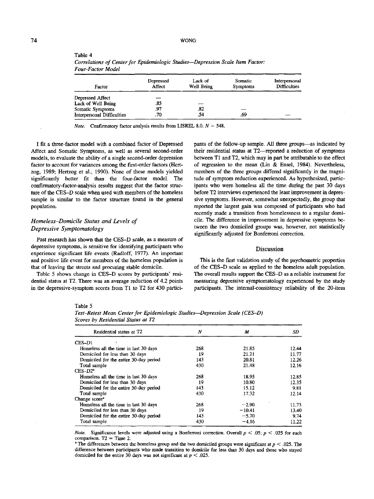| Factor                     | Depressed<br>Affect | Lack of<br>Well Being | Somatic<br>Symptoms | Interpersonal<br><b>Difficulties</b> |
|----------------------------|---------------------|-----------------------|---------------------|--------------------------------------|
| Depressed Affect           |                     |                       |                     |                                      |
| Lack of Well Being         | .85                 |                       |                     |                                      |
| Somatic Symptoms           | .97                 | .82                   |                     |                                      |
| Interpersonal Difficulties | .70                 | .54                   | 69                  |                                      |

*Correlations of Center for Epidemiologic Studies*—*Depression Scale Item Factor: Four-Factor Model*

*Note.* Confirmatory factor analysis results from LISREL 8.0.  $N = 548$ .

Affect and Somatic Symptoms, as well as several second-order their residential status at T2—reported a reduction of symptoms models, to evaluate the ability of a single second-order depression between Tl and T2, which may in part be attributable to the effect factor to account for variances among the first-order factors (Hert- of regression to the mean (Lin *&* Ensel, 1984). Nevertheless, zog, 1989; Hertzog et al., 1990). None of these models yielded members of the three groups differed significantly in the magnisignificantly better fit than the four-factor model. The tude of symptom reduction experienced. As hypothesized, particconfirmatory-factor-analysis results suggest that the factor struc- ipants who were homeless all the time during the past 30 days ture of the CES-D scale when used with members of the homeless before T2 interviews experienced the least improvement in depressample is similar to the factor structure found in the general sive symptoms. However, somewhat unexpectedly, the group that

### *Homeless-Domicile Status and Levels of Depressive Symptomatology*

Table 4

Past research has shown that the CES-D scale, as a measure of depressive symptoms, is sensitive for identifying participants who Discussion experience significant life events (Radloff, 1977). An important and positive life event for members of the homeless population is This is the first validation study of the psychometric properties

dential status at T2. There was an average reduction of 4.2 points measuring depressive symptomatology experienced by the study

I fit a three-factor model with a combined factor of Depressed pants of the follow-up sample. All three groups—as indicated by population. The population of the largest gain was composed of participants who had recently made a transition from homelessness to a regular domicile. The difference in improvement in depressive symptoms between the two domiciled groups was, however, not statistically significantly adjusted for Bonferroni correction.

that of leaving the streets and procuring stable domicile. of the CES-D scale as applied to the homeless adult population. Table 5 shows change in CES-D scores by participants' resi-<br>The overall results support the CES-D as a reliable instrument for in the depressive-symptom scores from T1 to T2 for 430 partici-<br>
participants. The internal-consistency reliability of the 20-item

#### Table 5

| Ν       | M        | SD.   |
|---------|----------|-------|
|         |          |       |
| 268     | 21.85    | 12.44 |
| 19      | 21.21    | 11.77 |
| 143     | 20.81    | 12.26 |
| 430     | 21.48    | 12.16 |
|         |          |       |
| 268     | 18.95    | 12.85 |
| 19      | 10.80    | 12.35 |
| $143 -$ | 15.12    | 9.81  |
| 430     | 17.32    | 12.14 |
|         |          |       |
| 268     | $-2.90$  | 11.73 |
| 19      | $-10.41$ | 13.40 |
| 143     | $-5.70$  | 9.74  |
| 430     | $-4.16$  | 11.22 |
|         |          |       |

*Test-Retest Mean Center for Epidemiologic Studies*—*Depression Scale (CES-D) Scores by Residential Status at T2*

*Note.* Significance levels were adjusted using a Bonferroni correction. Overall *p <* .05; *p <* .025 for each comparison.  $T2 = Time 2$ .

<sup>a</sup> The differences between the homeless group and the two domiciled groups were significant at  $p < .025$ . The difference between participants who made transition to domicile for less than 30 days and those who stayed domiciled for the entire 30 days was not significant at *p <* .025.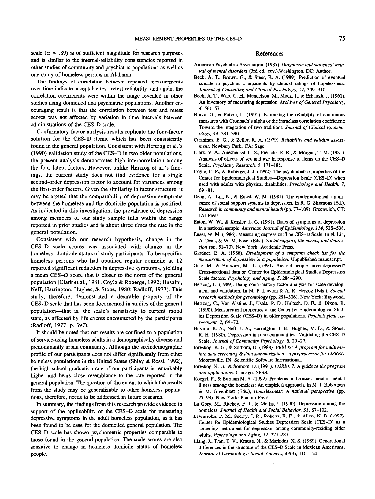The findings of correlation between repeated measurements over time indicate acceptable test-retest reliability, and again, the correlation coefficients were within the range revealed in other studies using domiciled and psychiatric populations. Another encouraging result is that the correlation between test and retest scores was not affected by variation in time intervals between administrations of the CES-D scale.

Confirmatory factor analysis results replicate the four-factor solution for the CES-D items, which has been consistently found in the general population. Consistent with Hertzog et al.'s (1990) validation study of the CES-D in two older populations, the present analysis demonstrates high intercorrelation among the four latent factors. However, unlike Hertzog et al.'s findings, the current study does not find evidence for a single second-order depression factor to account for variances among the first-order factors. Given the similarity in factor structure, it may be argued that the comparability of depressive symptoms between the homeless and the domicile population is justified. As indicated in this investigation, the prevalence of depression among members of our study sample falls within the range reported in prior studies and is about three times the rate in the general population.

Consistent with our research hypothesis, change in the CES-D scale scores was associated with change in the homeless-domicile status of study participants. To be specific, homeless persons who had obtained regular domicile at T2 reported significant reduction in depressive symptoms, yielding a mean CES-D score that is closer to the norm of the general population (Clark et al., 1981; Coyle & Roberge, 1992; Husaini, Neff, Harrington, Hughes, & Stone, 1980; Radloff, 1977). This study, therefore, demonstrated a desirable property of the CES—D scale that has been documented in studies of the general population—that is, the scale's sensitivity to current mood state, as affected by life events encountered by the participants (Radloff, 1977, p. 397).

It should be noted that our results are confined to a population of service-using homeless adults in a demographically diverse and predominantly urban community. Although the sociodemographic profile of our participants does not differ significantly from other homeless populations in the United States (Shlay & Rossi, 1992), the high school graduation rate of our participants is remarkably higher and bears close resemblance to the rate reported in the general population. The question of the extent to which the results from the study may be generalizable to other homeless populations, therefore, needs to be addressed in future research.

In summary, the findings from this research provide evidence in support of the applicability of the CES-D scale for measuring depressive symptoms in the adult homeless population, as it has been found to be case for the domiciled general population. The CES-D scale has shown psychometric properties comparable to those found in the general population. The scale scores are also sensitive to change in homeless-domicile status of homeless people.

#### References

- American Psychiatric Association. (1987). *Diagnostic and statistical manual of mental disorders* (3rd ed., rev.).Washington, DC: Author.
- Beck, A. T., Brown, O., & Steer, R. A. (1989). Prediction of eventual suicide in psychiatric inpatients by clinical ratings of hopelessness. *Journal of Consulting and Clinical Psychology, 57,* 309-310.
- Beck, A. T., Ward C. H., Mendelson, M.. Mock, J.. & Erbaugh, J. (1961). An inventory of measuring depression. *Archives of General Psychiatry, 4,* 561-571.
- Bravo, G., & Potvin, L. (1991). Estimating the reliability of continuous measures with Cronbach's alpha or the intraclass correlation coefficient: Toward the integration of two traditions. *Journal of Clinical Epidemiology, 44,* 381-390.
- Carmines, E. G., & Zeller, R. A. (1979). *Reliability and validity assessment.* Newbury Park: CA: Sage.
- Clark, V. A., Aneshensel, C. S., Frerichs, R. R., & Morgan, T. M. (1981). Analysis of effects of sex and age in response to items on the CES-D Scale. *Psychiatry Research, 5,* 171-181.
- Coyle, C. P., & Roberge, J. J. (1992). The psychometric properties of the Center for Epidemiological Studies—Depression Scale (CES-D) when used with adults with physical disabilities. *Psychology and Health, 7,* 69-81.
- Dean, A., Lin, N., & Ensel, W. M. (1981). The epidemiological significance of social support systems in depression. In R. G. Simmons (Ed.), *Research in community and mental health* (pp. 77-109). Greenwich, CT: JAI Press.
- Eaton, W. W., & Kessler, L. G. (1981). Rates of symptoms of depression in a national sample. *American Journal of Epidemiology, 114,* 528-538.
- Ensel, W. M. (1986). Measuring depression: The CES-D Scale. In N. Lin, A. Dean, & W. M, Ensel (Eds.), *Social support, life events, and depression* (pp. 51-70). New York: Academic Press.
- Gardner, E. A. (1968). *Development of a symptom check list for the measurement of depression in a population.* Unpublished manuscript.
- Gatz, M., & Hurwicz, M. -L. (1990). Are old people more depressed? Cross-sectional data on Center for Epidemiological Studies Depression Scale factors. *Psychology and Aging,* 5, 284-290.
- Hertzog, C. (1989). Using confirmatory factor analysis for scale development and validation. In M. P. Lawton & A. R. Herzog (Eds.), *Special research methods for gerontology* (pp. 281-306). New York: Baywood.
- Hertzog, C., Van Alsline, J., Usala, P. D., Hultsch, D. P., & Dixon, R. (1990). Measurement properties of the Center for Epidemiological Studies Depression Scale (CES-D) in older populations. *Psychological Assessment, 2,* 64-72.
- Husaini, B. A., Neff, J. A., Harrington, J. B., Hughes, M. D., & Stone, R. H. (1980). Depression in rural communities: Validating the CES-D Scale. *Journal of Community Psychology, 8,* 20-27.
- Joreskog, K. G., & Sorbom, D. (1988). *PRELIS: A program for multivariate data screening &. data summarization*—*a preprocessor for LJSREL* Mooresville, IN: Scientific Software International.
- J6reskog, K. G., & Sorbom, D. (1991). *LISREL 7: A guide to the program and applications.* Chicago: SPSS.
- Koegel, P., & Burnam M. A. (1992). Problems in the assessment of mental illness among the homeless: An empirical approach. In M. J. Robertson & M. Greenblatt (Eds.), *Homelessness: A national perspective* (pp. 77-99). New York: Plenum Press,
- La Gory, M., Ritchey, F. J., & Mullis, J. (1990). Depression among the homeless. *Journal of Health and Social Behavior, 31,* 87-102.
- Lewinsohn, P. M., Seeley, I. R., Roberts, R. E., & Allen, N. B. (1997). Center for Epidemiological Studies Depression Scale (CES-D) as a screening instrument for depression among community-residing older adults. *Psychology and Aging, 12,* 277-287.
- Liang, J., Tran, T. V., Krause, N., & Markides, K. S. (1989). Generational differences in the structure of the CES-D Scale in Mexican Americans. *Journal of Gerontology: Social Sciences, 44(3),* 110-120.